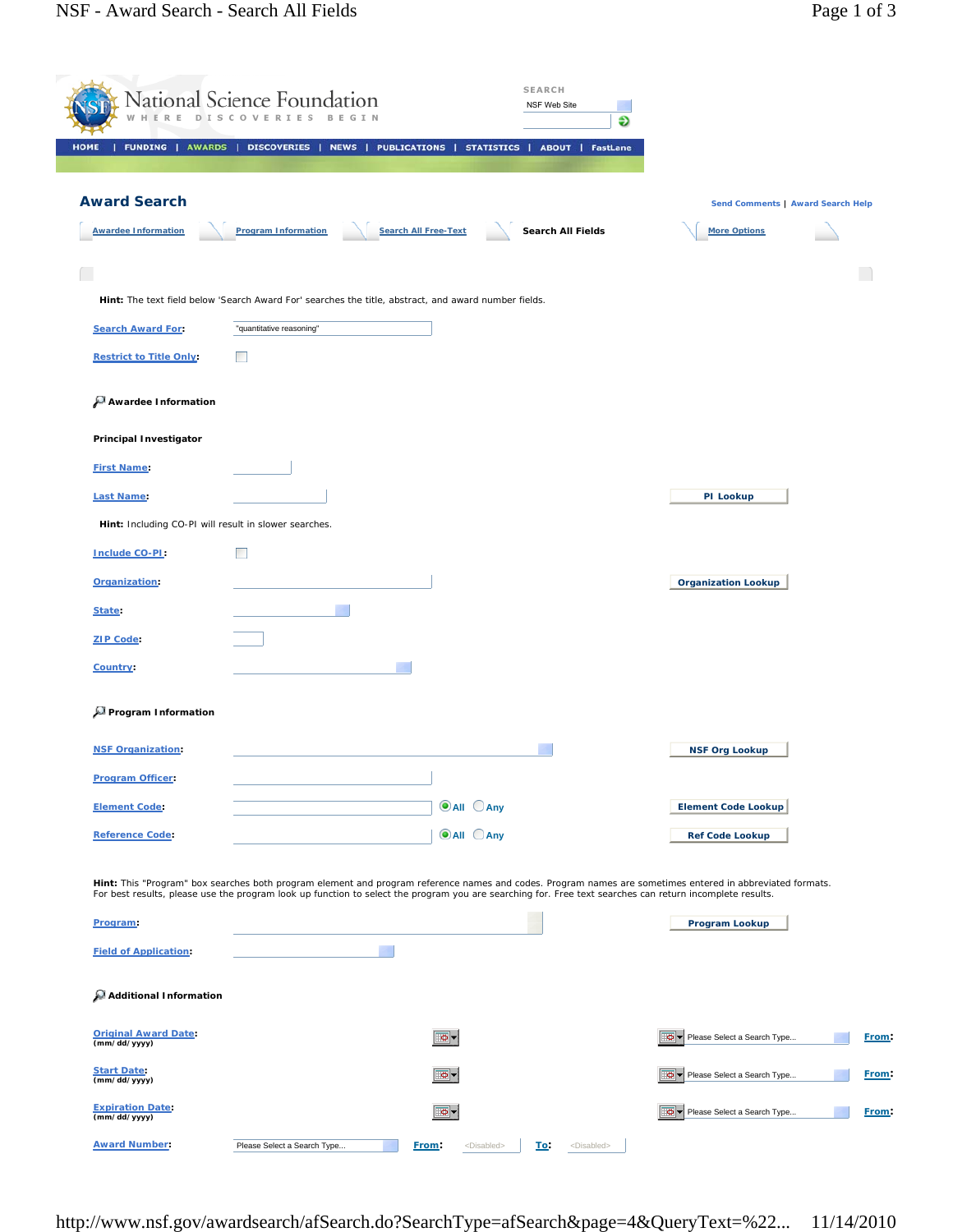|                                                       | National Science Foundation<br>D I S C O |                                                                                                      | <b>SEARCH</b><br>NSF Web Site                                  | Ð                                                                                                                                                                                                                                                                                                                     |              |
|-------------------------------------------------------|------------------------------------------|------------------------------------------------------------------------------------------------------|----------------------------------------------------------------|-----------------------------------------------------------------------------------------------------------------------------------------------------------------------------------------------------------------------------------------------------------------------------------------------------------------------|--------------|
| <b>FUNDING   AWARDS  </b><br><b>HOME</b>              | DISCOVERIES                              | NEWS  <br><b>PUBLICATIONS  </b>                                                                      | STATISTICS  <br><b>ABOUT   FastLane</b>                        |                                                                                                                                                                                                                                                                                                                       |              |
| <b>Award Search</b>                                   |                                          |                                                                                                      |                                                                | Send Comments   Award Search Help                                                                                                                                                                                                                                                                                     |              |
| <b>Awardee Information</b>                            | <b>Program Information</b>               | <b>Search All Free-Text</b>                                                                          | Search All Fields                                              | <b>More Options</b>                                                                                                                                                                                                                                                                                                   |              |
|                                                       |                                          |                                                                                                      |                                                                |                                                                                                                                                                                                                                                                                                                       |              |
|                                                       |                                          | Hint: The text field below 'Search Award For' searches the title, abstract, and award number fields. |                                                                |                                                                                                                                                                                                                                                                                                                       |              |
| <b>Search Award For:</b>                              | "quantitative reasoning"                 |                                                                                                      |                                                                |                                                                                                                                                                                                                                                                                                                       |              |
| <b>Restrict to Title Only:</b>                        | <b>The State</b>                         |                                                                                                      |                                                                |                                                                                                                                                                                                                                                                                                                       |              |
| Awardee Information                                   |                                          |                                                                                                      |                                                                |                                                                                                                                                                                                                                                                                                                       |              |
| <b>Principal Investigator</b>                         |                                          |                                                                                                      |                                                                |                                                                                                                                                                                                                                                                                                                       |              |
| <b>First Name:</b>                                    |                                          |                                                                                                      |                                                                |                                                                                                                                                                                                                                                                                                                       |              |
| <b>Last Name:</b>                                     |                                          |                                                                                                      |                                                                | PI Lookup                                                                                                                                                                                                                                                                                                             |              |
| Hint: Including CO-PI will result in slower searches. |                                          |                                                                                                      |                                                                |                                                                                                                                                                                                                                                                                                                       |              |
| Include CO-PI:                                        | <b>The State</b>                         |                                                                                                      |                                                                |                                                                                                                                                                                                                                                                                                                       |              |
| Organization:                                         |                                          |                                                                                                      |                                                                | <b>Organization Lookup</b>                                                                                                                                                                                                                                                                                            |              |
| State:                                                |                                          |                                                                                                      |                                                                |                                                                                                                                                                                                                                                                                                                       |              |
| <b>ZIP Code:</b>                                      |                                          |                                                                                                      |                                                                |                                                                                                                                                                                                                                                                                                                       |              |
| Country:                                              |                                          |                                                                                                      |                                                                |                                                                                                                                                                                                                                                                                                                       |              |
| Program Information                                   |                                          |                                                                                                      |                                                                |                                                                                                                                                                                                                                                                                                                       |              |
| <b>NSF Organization:</b>                              |                                          |                                                                                                      |                                                                | <b>NSF Org Lookup</b>                                                                                                                                                                                                                                                                                                 |              |
| <b>Program Officer:</b>                               |                                          |                                                                                                      |                                                                |                                                                                                                                                                                                                                                                                                                       |              |
| <b>Element Code:</b>                                  |                                          | <b>O</b> All CAny                                                                                    |                                                                | <b>Element Code Lookup</b>                                                                                                                                                                                                                                                                                            |              |
| <b>Reference Code:</b>                                |                                          | $\odot$ All $\odot$ Any                                                                              |                                                                | <b>Ref Code Lookup</b>                                                                                                                                                                                                                                                                                                |              |
|                                                       |                                          |                                                                                                      |                                                                |                                                                                                                                                                                                                                                                                                                       |              |
|                                                       |                                          |                                                                                                      |                                                                | Hint: This "Program" box searches both program element and program reference names and codes. Program names are sometimes entered in abbreviated formats.<br>For best results, please use the program look up function to select the program you are searching for. Free text searches can return incomplete results. |              |
| Program:                                              |                                          |                                                                                                      |                                                                | Program Lookup                                                                                                                                                                                                                                                                                                        |              |
| <b>Field of Application:</b>                          |                                          |                                                                                                      |                                                                |                                                                                                                                                                                                                                                                                                                       |              |
| Additional Information                                |                                          |                                                                                                      |                                                                |                                                                                                                                                                                                                                                                                                                       |              |
| <b>Original Award Date:</b><br>(mm/dd/yyyy)           |                                          | .o -                                                                                                 |                                                                | Please Select a Search Type                                                                                                                                                                                                                                                                                           | <b>Erom:</b> |
| <b>Start Date:</b><br>(mm/dd/yyyy)                    |                                          | o-                                                                                                   |                                                                | Please Select a Search Type                                                                                                                                                                                                                                                                                           | From:        |
| <b>Expiration Date:</b><br>(mm/dd/yyyy)               |                                          | o-                                                                                                   |                                                                | Please Select a Search Type                                                                                                                                                                                                                                                                                           | From:        |
| <b>Award Number:</b>                                  | Please Select a Search Type              | From:                                                                                                | <disabled><br/><u>To:</u><br/><disabled></disabled></disabled> |                                                                                                                                                                                                                                                                                                                       |              |

http://www.nsf.gov/awardsearch/afSearch.do?SearchType=afSearch&page=4&QueryText=%22... 11/14/2010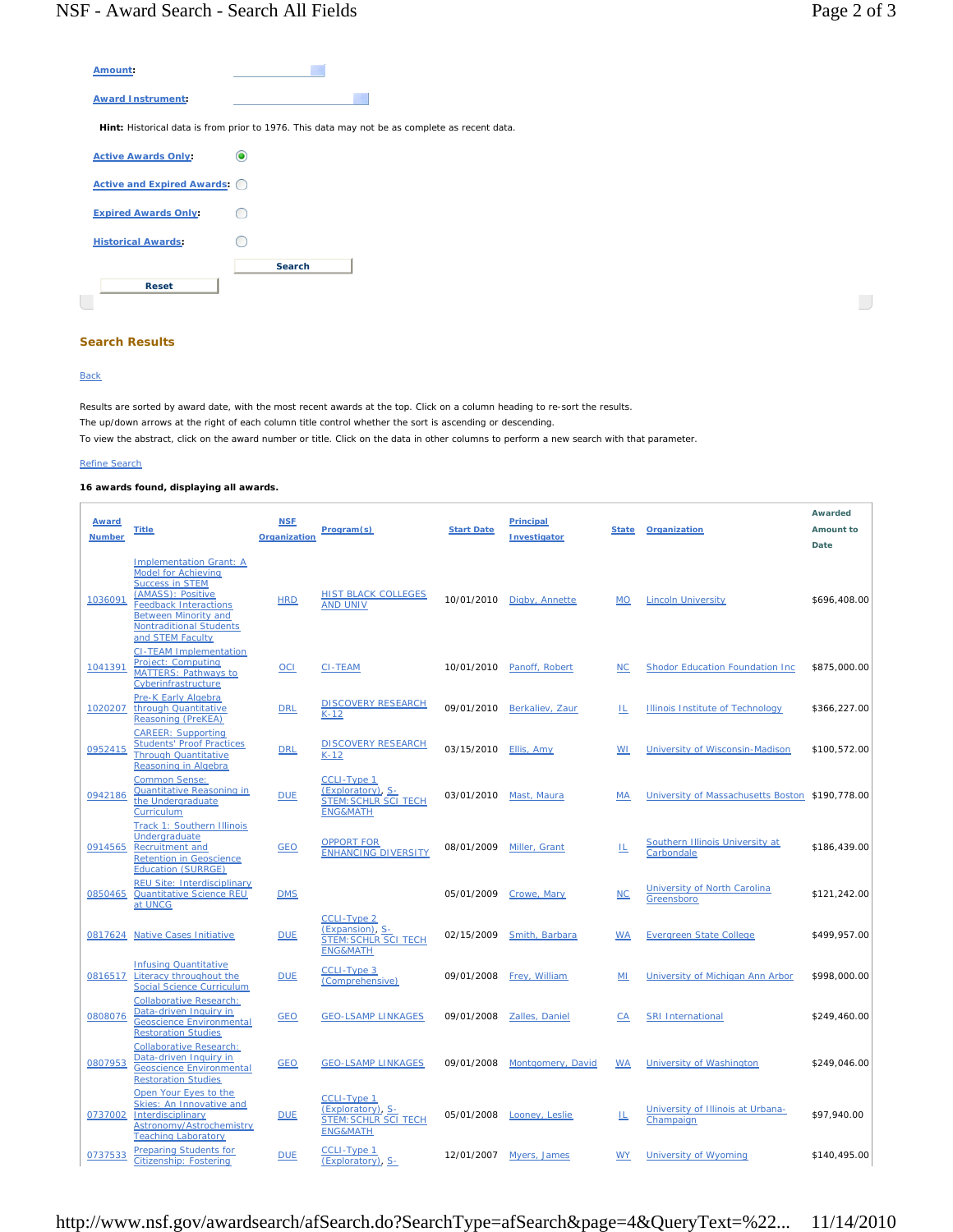$\overline{\phantom{a}}$ 

| Amount:                      |                                                                                               |
|------------------------------|-----------------------------------------------------------------------------------------------|
| <b>Award Instrument:</b>     |                                                                                               |
|                              | Hint: Historical data is from prior to 1976. This data may not be as complete as recent data. |
| <b>Active Awards Only:</b>   |                                                                                               |
| Active and Expired Awards: 0 |                                                                                               |
| <b>Expired Awards Only:</b>  |                                                                                               |
| <b>Historical Awards:</b>    |                                                                                               |
|                              | <b>Search</b>                                                                                 |
| <b>Reset</b>                 |                                                                                               |

## **Search Results**

## **Back**

 $\overline{1}$ 

Results are sorted by award date, with the most recent awards at the top. Click on a column heading to re-sort the results. The up/down arrows at the right of each column title control whether the sort is ascending or descending. To view the abstract, click on the award number or title. Click on the data in other columns to perform a new search with that parameter.

## Refine Search

## **16 awards found, displaying all awards.**

| <b>Award</b><br><b>Number</b> | <b>Title</b>                                                                                                                                                                                                                     | <b>NSF</b><br>Organization | Program(s)                                                                                           | <b>Start Date</b> | <b>Principal</b><br>Investigator | State     | Organization                                    | Awarded<br>Amount to<br>Date |
|-------------------------------|----------------------------------------------------------------------------------------------------------------------------------------------------------------------------------------------------------------------------------|----------------------------|------------------------------------------------------------------------------------------------------|-------------------|----------------------------------|-----------|-------------------------------------------------|------------------------------|
| 1036091                       | <b>Implementation Grant: A</b><br><b>Model for Achieving</b><br><b>Success in STEM</b><br>(AMASS): Positive<br><b>Feedback Interactions</b><br><b>Between Minority and</b><br><b>Nontraditional Students</b><br>and STEM Faculty | <b>HRD</b>                 | <b>HIST BLACK COLLEGES</b><br><b>AND UNIV</b>                                                        | 10/01/2010        | Digby, Annette                   | <b>MO</b> | <b>Lincoln University</b>                       | \$696,408.00                 |
| 1041391                       | <b>CI-TEAM Implementation</b><br>Project: Computing<br><b>MATTERS: Pathways to</b><br>Cyberinfrastructure                                                                                                                        | $OCI$                      | <b>CI-TEAM</b>                                                                                       | 10/01/2010        | Panoff, Robert                   | <b>NC</b> | <b>Shodor Education Foundation Inc</b>          | \$875,000.00                 |
| 1020207                       | Pre-K Early Algebra<br>through Quantitative<br>Reasoning (PreKEA)                                                                                                                                                                | <b>DRL</b>                 | <b>DISCOVERY RESEARCH</b><br>$K-12$                                                                  | 09/01/2010        | Berkaliev, Zaur                  | ΙL        | Illinois Institute of Technology                | \$366,227.00                 |
| 0952415                       | <b>CAREER: Supporting</b><br><b>Students' Proof Practices</b><br><b>Through Quantitative</b><br>Reasoning in Algebra                                                                                                             | <b>DRL</b>                 | <b>DISCOVERY RESEARCH</b><br>$K-12$                                                                  | 03/15/2010        | Ellis, Amy                       | WI        | University of Wisconsin-Madison                 | \$100,572.00                 |
| 0942186                       | <b>Common Sense:</b><br><b>Quantitative Reasoning in</b><br>the Undergraduate<br>Curriculum                                                                                                                                      | <b>DUE</b>                 | <b>CCLI-Type 1</b><br><u>(Exploratory), S-</u><br><b>STEM: SCHLR SCI TECH</b><br><b>ENG&amp;MATH</b> | 03/01/2010        | Mast, Maura                      | <b>MA</b> | University of Massachusetts Boston \$190,778.00 |                              |
| 0914565                       | <b>Track 1: Southern Illinois</b><br>Undergraduate<br><b>Recruitment and</b><br><b>Retention in Geoscience</b><br><b>Education (SURRGE)</b>                                                                                      | <b>GEO</b>                 | <b>OPPORT FOR</b><br><b>ENHANCING DIVERSITY</b>                                                      | 08/01/2009        | Miller, Grant                    | Щ         | Southern Illinois University at<br>Carbondale   | \$186,439.00                 |
| 0850465                       | <b>REU Site: Interdisciplinary</b><br><b>Quantitative Science REU</b><br>at UNCG                                                                                                                                                 | <b>DMS</b>                 |                                                                                                      | 05/01/2009        | Crowe, Mary                      | NC        | University of North Carolina<br>Greensboro      | \$121,242.00                 |
| 0817624                       | <b>Native Cases Initiative</b>                                                                                                                                                                                                   | <b>DUE</b>                 | <b>CCLI-Type 2</b><br>(Expansion), S-<br><b>STEM: SCHLR SCI TECH</b><br><b>ENG&amp;MATH</b>          | 02/15/2009        | Smith, Barbara                   | <b>WA</b> | <b>Evergreen State College</b>                  | \$499,957.00                 |
| 0816517                       | <b>Infusing Quantitative</b><br>Literacy throughout the<br><b>Social Science Curriculum</b>                                                                                                                                      | <b>DUE</b>                 | <b>CCLI-Type 3</b><br>(Comprehensive)                                                                | 09/01/2008        | Frey, William                    | MI        | University of Michigan Ann Arbor                | \$998,000.00                 |
| 0808076                       | <b>Collaborative Research:</b><br>Data-driven Inquiry in<br><b>Geoscience Environmental</b><br><b>Restoration Studies</b>                                                                                                        | <b>GEO</b>                 | <b>GEO-LSAMP LINKAGES</b>                                                                            | 09/01/2008        | <b>Zalles, Daniel</b>            | CA        | <b>SRI International</b>                        | \$249,460.00                 |
| 0807953                       | <b>Collaborative Research:</b><br>Data-driven Inquiry in<br><b>Geoscience Environmental</b><br><b>Restoration Studies</b>                                                                                                        | <b>GEO</b>                 | <b>GEO-LSAMP LINKAGES</b>                                                                            | 09/01/2008        | Montgomery, David                | <b>WA</b> | <b>University of Washington</b>                 | \$249,046.00                 |
| 0737002                       | Open Your Eyes to the<br>Skies: An Innovative and<br>Interdisciplinary<br>Astronomy/Astrochemistry<br><b>Teaching Laboratory</b>                                                                                                 | <b>DUE</b>                 | CCLI-Type 1<br>(Exploratory), S-<br><b>STEM: SCHLR SCI TECH</b><br><b>ENG&amp;MATH</b>               | 05/01/2008        | Looney, Leslie                   | Щ         | University of Illinois at Urbana-<br>Champaign  | \$97,940.00                  |
| 0737533                       | <b>Preparing Students for</b><br>Citizenship: Fostering                                                                                                                                                                          | <b>DUE</b>                 | <b>CCLI-Type 1</b><br>(Exploratory), S-                                                              | 12/01/2007        | Myers, James                     | <b>WY</b> | University of Wyoming                           | \$140,495.00                 |

http://www.nsf.gov/awardsearch/afSearch.do?SearchType=afSearch&page=4&QueryText=%22... 11/14/2010